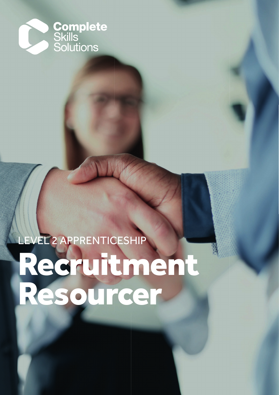

# LEVEL 2 APPRENTICESHIP Recruitment Resourcer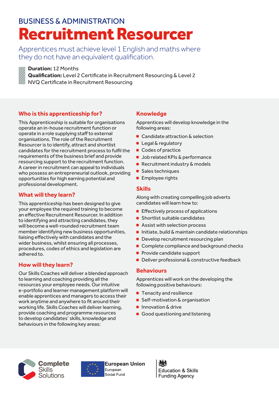### BUSINESS & ADMINISTRATION Recruitment Resourcer

Apprentices must achieve level 1 English and maths where they do not have an equivalent qualification.



#### **Duration:** 12 Months

**Qualification:** Level 2 Certificate in Recruitment Resourcing & Level 2

NVQ Certificate in Recruitment Resourcing

### **Who is this apprenticeship for?**

This Apprenticeship is suitable for organisations operate an in-house recruitment function or operate in a role supplying staff to external organisations. The role of the Recruitment Resourcer is to identify, attract and shortlist candidates for the recruitment process to fulfil the requirements of the business brief and provide resourcing support to the recruitment function. A career in recruitment can appeal to individuals who possess an entrepreneurial outlook, providing opportunities for high earning potential and professional development.

### **What will they learn?**

This apprenticeship has been designed to give your employee the required training to become an effective Recruitment Resourcer. In addition to identifying and attracting candidates, they will become a well-rounded recruitment team member identifying new business opportunities, liaising effectively with candidates and the wider business, whilst ensuring all processes, procedures, codes of ethics and legislation are adhered to.

### **How will they learn?**

Our Skills Coaches will deliver a blended approach to learning and coaching providing all the resources your employee needs. Our intuitive e-portfolio and learner management platform will enable apprentices and managers to access their work anytime and anywhere to fit around their working life. Skills Coaches will deliver learning, provide coaching and programme resources to develop candidates' skills, knowledge and behaviours in the following key areas:

### **Knowledge**

Apprentices will develop knowledge in the following areas:

- Candidate attraction & selection
- **Legal & regulatory**
- **Codes of practice**
- **Job related KPIs & performance**
- Recruitment industry & models
- Sales techniques
- **Employee rights**

### **Skills**

Along with creating compelling job adverts candidates will learn how to:

- **Effectively process of applications**
- **Shortlist suitable candidates**
- Assist with selection process
- **Initiate, build & maintain candidate relationships**
- **Develop recruitment resourcing plan**
- Complete compliance and background checks
- **Provide candidate support**
- Deliver professional & constructive feedback

### **Behaviours**

Apprentices will work on the developing the following positive behaviours:

- **Tenacity and resilience**
- Self-motivation & organisation
- **Innovation & drive**
- Good questioning and listening